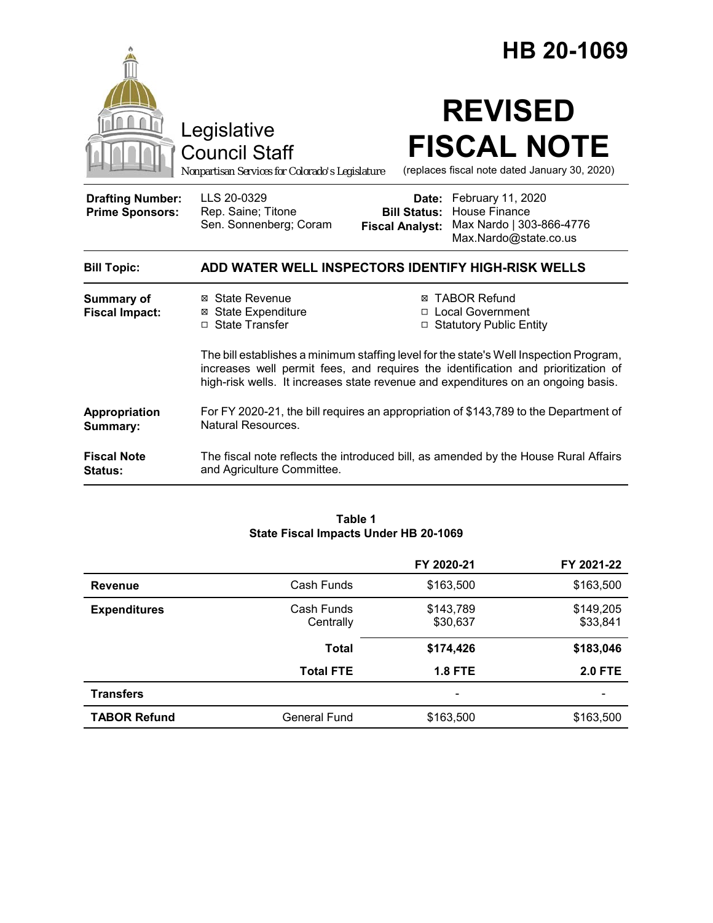|                                                   |                                                                                                                                                                                                                                                                  |                                                        | HB 20-1069                                                                              |  |
|---------------------------------------------------|------------------------------------------------------------------------------------------------------------------------------------------------------------------------------------------------------------------------------------------------------------------|--------------------------------------------------------|-----------------------------------------------------------------------------------------|--|
|                                                   | Legislative<br><b>Council Staff</b><br>Nonpartisan Services for Colorado's Legislature                                                                                                                                                                           |                                                        | <b>REVISED</b><br><b>FISCAL NOTE</b><br>(replaces fiscal note dated January 30, 2020)   |  |
| <b>Drafting Number:</b><br><b>Prime Sponsors:</b> | LLS 20-0329<br>Rep. Saine; Titone<br>Sen. Sonnenberg; Coram                                                                                                                                                                                                      | Date:<br><b>Bill Status:</b><br><b>Fiscal Analyst:</b> | February 11, 2020<br>House Finance<br>Max Nardo   303-866-4776<br>Max.Nardo@state.co.us |  |
| <b>Bill Topic:</b>                                | ADD WATER WELL INSPECTORS IDENTIFY HIGH-RISK WELLS                                                                                                                                                                                                               |                                                        |                                                                                         |  |
| <b>Summary of</b><br><b>Fiscal Impact:</b>        | ⊠ State Revenue<br><b>⊠</b> State Expenditure<br>□ State Transfer                                                                                                                                                                                                | $\Box$                                                 | <b>⊠ TABOR Refund</b><br>□ Local Government<br><b>Statutory Public Entity</b>           |  |
|                                                   | The bill establishes a minimum staffing level for the state's Well Inspection Program,<br>increases well permit fees, and requires the identification and prioritization of<br>high-risk wells. It increases state revenue and expenditures on an ongoing basis. |                                                        |                                                                                         |  |
| Appropriation<br>Summary:                         | For FY 2020-21, the bill requires an appropriation of \$143,789 to the Department of<br>Natural Resources.                                                                                                                                                       |                                                        |                                                                                         |  |
| <b>Fiscal Note</b><br>Status:                     | and Agriculture Committee.                                                                                                                                                                                                                                       |                                                        | The fiscal note reflects the introduced bill, as amended by the House Rural Affairs     |  |

#### **Table 1 State Fiscal Impacts Under HB 20-1069**

|                     |                         | FY 2020-21               | FY 2021-22            |
|---------------------|-------------------------|--------------------------|-----------------------|
| <b>Revenue</b>      | Cash Funds              | \$163,500                | \$163,500             |
| <b>Expenditures</b> | Cash Funds<br>Centrally | \$143,789<br>\$30,637    | \$149,205<br>\$33,841 |
|                     | <b>Total</b>            | \$174,426                | \$183,046             |
|                     | <b>Total FTE</b>        | <b>1.8 FTE</b>           | <b>2.0 FTE</b>        |
| <b>Transfers</b>    |                         | $\overline{\phantom{0}}$ |                       |
| <b>TABOR Refund</b> | General Fund            | \$163,500                | \$163,500             |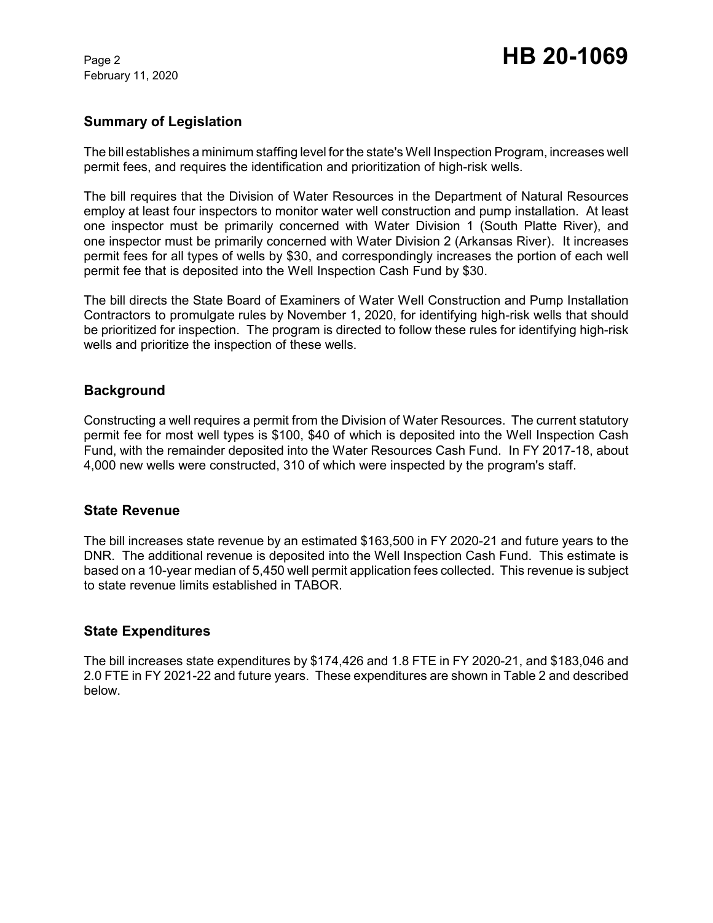February 11, 2020

# Page 2 **HB 20-1069**

### **Summary of Legislation**

The bill establishes a minimum staffing level for the state's Well Inspection Program, increases well permit fees, and requires the identification and prioritization of high-risk wells.

The bill requires that the Division of Water Resources in the Department of Natural Resources employ at least four inspectors to monitor water well construction and pump installation. At least one inspector must be primarily concerned with Water Division 1 (South Platte River), and one inspector must be primarily concerned with Water Division 2 (Arkansas River). It increases permit fees for all types of wells by \$30, and correspondingly increases the portion of each well permit fee that is deposited into the Well Inspection Cash Fund by \$30.

The bill directs the State Board of Examiners of Water Well Construction and Pump Installation Contractors to promulgate rules by November 1, 2020, for identifying high-risk wells that should be prioritized for inspection. The program is directed to follow these rules for identifying high-risk wells and prioritize the inspection of these wells.

### **Background**

Constructing a well requires a permit from the Division of Water Resources. The current statutory permit fee for most well types is \$100, \$40 of which is deposited into the Well Inspection Cash Fund, with the remainder deposited into the Water Resources Cash Fund. In FY 2017-18, about 4,000 new wells were constructed, 310 of which were inspected by the program's staff.

### **State Revenue**

The bill increases state revenue by an estimated \$163,500 in FY 2020-21 and future years to the DNR. The additional revenue is deposited into the Well Inspection Cash Fund. This estimate is based on a 10-year median of 5,450 well permit application fees collected. This revenue is subject to state revenue limits established in TABOR.

### **State Expenditures**

The bill increases state expenditures by \$174,426 and 1.8 FTE in FY 2020-21, and \$183,046 and 2.0 FTE in FY 2021-22 and future years. These expenditures are shown in Table 2 and described below.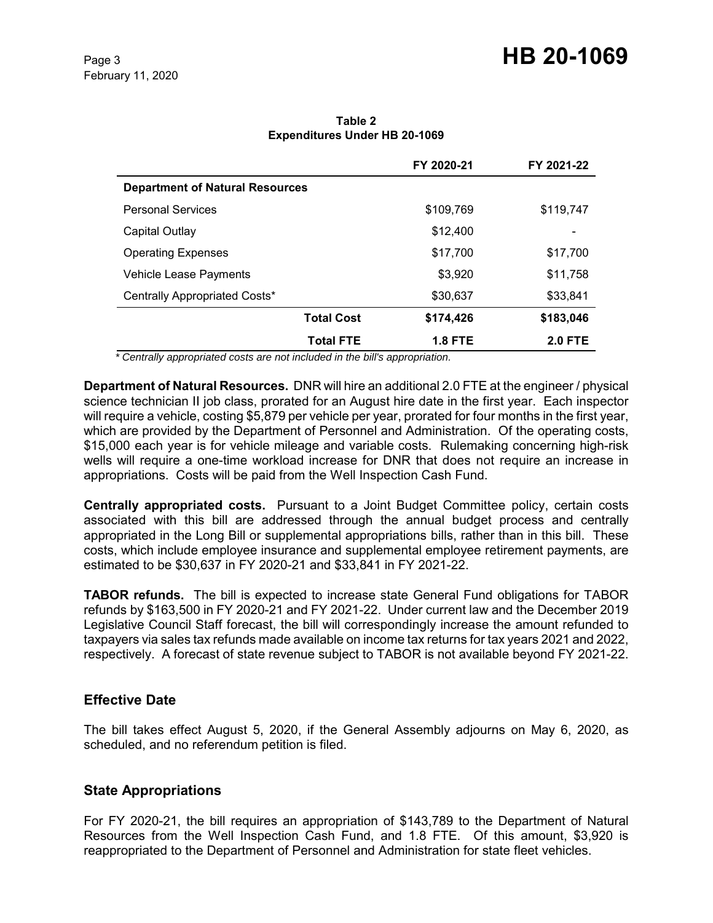# Page 3 **HB 20-1069**

|                                        |                   | FY 2020-21     | FY 2021-22     |
|----------------------------------------|-------------------|----------------|----------------|
| <b>Department of Natural Resources</b> |                   |                |                |
| <b>Personal Services</b>               |                   | \$109,769      | \$119,747      |
| Capital Outlay                         |                   | \$12,400       |                |
| <b>Operating Expenses</b>              |                   | \$17,700       | \$17,700       |
| Vehicle Lease Payments                 |                   | \$3,920        | \$11,758       |
| Centrally Appropriated Costs*          |                   | \$30,637       | \$33,841       |
|                                        | <b>Total Cost</b> | \$174,426      | \$183,046      |
|                                        | <b>Total FTE</b>  | <b>1.8 FTE</b> | <b>2.0 FTE</b> |

**Table 2 Expenditures Under HB 20-1069**

 *\* Centrally appropriated costs are not included in the bill's appropriation.*

**Department of Natural Resources.** DNR will hire an additional 2.0 FTE at the engineer / physical science technician II job class, prorated for an August hire date in the first year. Each inspector will require a vehicle, costing \$5,879 per vehicle per year, prorated for four months in the first year, which are provided by the Department of Personnel and Administration. Of the operating costs, \$15,000 each year is for vehicle mileage and variable costs. Rulemaking concerning high-risk wells will require a one-time workload increase for DNR that does not require an increase in appropriations. Costs will be paid from the Well Inspection Cash Fund.

**Centrally appropriated costs.** Pursuant to a Joint Budget Committee policy, certain costs associated with this bill are addressed through the annual budget process and centrally appropriated in the Long Bill or supplemental appropriations bills, rather than in this bill. These costs, which include employee insurance and supplemental employee retirement payments, are estimated to be \$30,637 in FY 2020-21 and \$33,841 in FY 2021-22.

**TABOR refunds.** The bill is expected to increase state General Fund obligations for TABOR refunds by \$163,500 in FY 2020-21 and FY 2021-22. Under current law and the December 2019 Legislative Council Staff forecast, the bill will correspondingly increase the amount refunded to taxpayers via sales tax refunds made available on income tax returns for tax years 2021 and 2022, respectively. A forecast of state revenue subject to TABOR is not available beyond FY 2021-22.

### **Effective Date**

The bill takes effect August 5, 2020, if the General Assembly adjourns on May 6, 2020, as scheduled, and no referendum petition is filed.

## **State Appropriations**

For FY 2020-21, the bill requires an appropriation of \$143,789 to the Department of Natural Resources from the Well Inspection Cash Fund, and 1.8 FTE. Of this amount, \$3,920 is reappropriated to the Department of Personnel and Administration for state fleet vehicles.